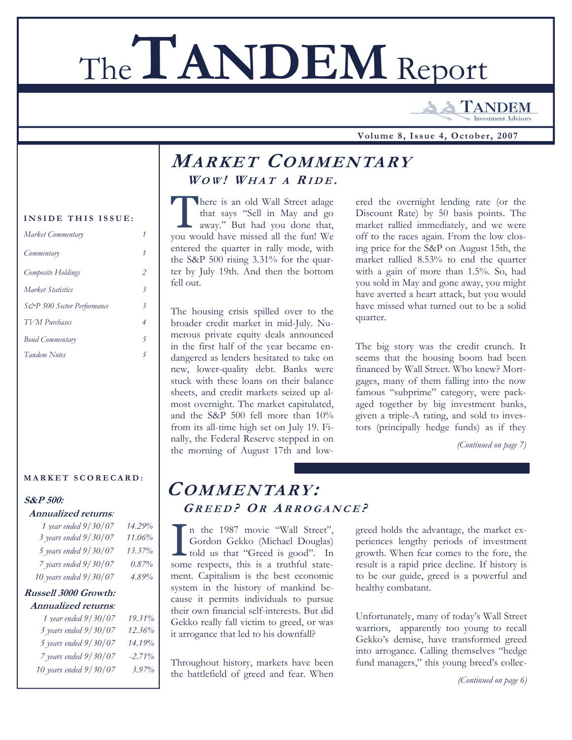# The**TANDEM** Report

**TANDEM Investment Advisor** 

 **Volume 8, Issue 4, October, 2007**

### **MARKET COMMENTARY**  $W$  $OW!$   $W$  $HA$  $T$   $A$   $R$  $ID$  $E$ .

There is an old Wall Street adage<br>
that says "Sell in May and go<br>
away." But had you done that, that says "Sell in May and go you would have missed all the fun! We entered the quarter in rally mode, with the S&P 500 rising 3.31% for the quarter by July 19th. And then the bottom fell out.

The housing crisis spilled over to the broader credit market in mid-July. Numerous private equity deals announced in the first half of the year became endangered as lenders hesitated to take on new, lower-quality debt. Banks were stuck with these loans on their balance sheets, and credit markets seized up almost overnight. The market capitulated, and the S&P 500 fell more than 10% from its all-time high set on July 19. Finally, the Federal Reserve stepped in on the morning of August 17th and lowered the overnight lending rate (or the Discount Rate) by 50 basis points. The market rallied immediately, and we were off to the races again. From the low closing price for the S&P on August 15th, the market rallied 8.53% to end the quarter with a gain of more than 1.5%. So, had you sold in May and gone away, you might have averted a heart attack, but you would have missed what turned out to be a solid quarter.

The big story was the credit crunch. It seems that the housing boom had been financed by Wall Street. Who knew? Mortgages, many of them falling into the now famous "subprime" category, were packaged together by big investment banks, given a triple-A rating, and sold to investors (principally hedge funds) as if they

*(Continued on page 7)* 

## **COMMENTARY: G REED ? O R A RROGANCE ?**

I n the 1987 movie "Wall Street",<br>
Gordon Gekko (Michael Douglas)<br>
told us that "Greed is good". In Gordon Gekko (Michael Douglas) some respects, this is a truthful statement. Capitalism is the best economic system in the history of mankind because it permits individuals to pursue their own financial self-interests. But did Gekko really fall victim to greed, or was it arrogance that led to his downfall?

Throughout history, markets have been the battlefield of greed and fear. When

greed holds the advantage, the market experiences lengthy periods of investment growth. When fear comes to the fore, the result is a rapid price decline. If history is to be our guide, greed is a powerful and healthy combatant.

Unfortunately, many of today's Wall Street warriors, apparently too young to recall Gekko's demise, have transformed greed into arrogance. Calling themselves "hedge fund managers," this young breed's collec-

*(Continued on page 6)* 

#### **INSIDE THIS ISSUE:**

| Market Commentary          |                          |
|----------------------------|--------------------------|
| Commentary                 |                          |
| Composite Holdings         | $\overline{c}$           |
| Market Statistics          | $\overline{\mathcal{E}}$ |
| S&P 500 Sector Performance | $\overline{\mathbf{3}}$  |
| <b>TVM</b> Purchases       | 4                        |
| <b>Bond Commentary</b>     | 5                        |
| <b>Tandem Notes</b>        | 5                        |
|                            |                          |

#### **MARKET SCORECARD:**

#### **S&P 500:**

#### **Annualized returns***:*

| 1 year ended 9/30/07   | 14.29% |
|------------------------|--------|
| 3 years ended 9/30/07  | 11.06% |
| 5 years ended 9/30/07  | 13.37% |
| 7 years ended 9/30/07  | 0.87%  |
| 10 years ended 9/30/07 | 4.89%  |

#### **Russell 3000 Growth: Annualized returns***:*

| 1 year ended 9/30/07   | 19.31%   |
|------------------------|----------|
|                        |          |
| 3 years ended 9/30/07  | 12.36%   |
| 5 years ended 9/30/07  | 14.19%   |
| 7 years ended 9/30/07  | $-2.71%$ |
| 10 years ended 9/30/07 | $3.97\%$ |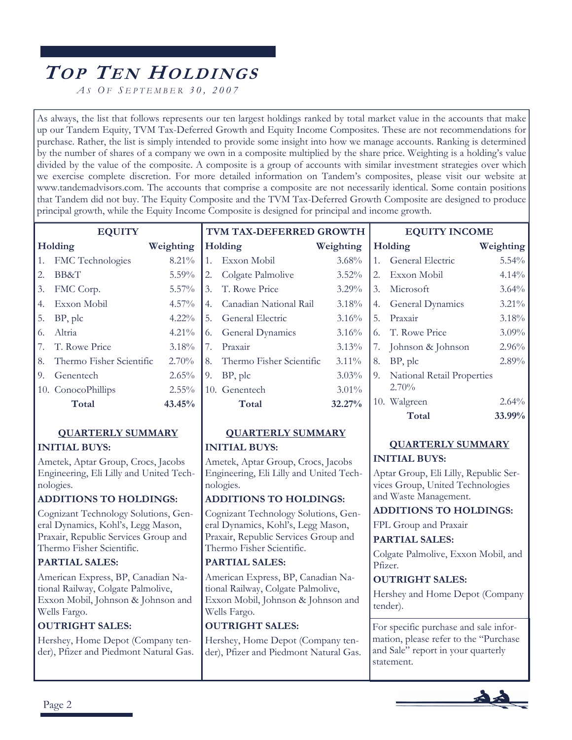# **TO P TE N HOLDINGS**

*A S O F S EPTEMBER 30, 2007*

As always, the list that follows represents our ten largest holdings ranked by total market value in the accounts that make up our Tandem Equity, TVM Tax-Deferred Growth and Equity Income Composites. These are not recommendations for purchase. Rather, the list is simply intended to provide some insight into how we manage accounts. Ranking is determined by the number of shares of a company we own in a composite multiplied by the share price. Weighting is a holding's value divided by the value of the composite. A composite is a group of accounts with similar investment strategies over which we exercise complete discretion. For more detailed information on Tandem's composites, please visit our website at www.tandemadvisors.com. The accounts that comprise a composite are not necessarily identical. Some contain positions that Tandem did not buy. The Equity Composite and the TVM Tax-Deferred Growth Composite are designed to produce principal growth, while the Equity Income Composite is designed for principal and income growth.

|         | <b>EQUITY</b> |           |
|---------|---------------|-----------|
| Holding |               | Weighting |

| 11010               | $m$ $\alpha$ $\beta$ $m$ $\alpha$ $\beta$ |
|---------------------|-------------------------------------------|
| 1. FMC Technologies | $8.21\%$                                  |

- 2. BB&T 5.59% 3. FMC Corp. 5.57%
- 4. Exxon Mobil 4.57% 5. BP, plc 4.22%
- 6. Altria 4.21% 7. T. Rowe Price 3.18% 8. Thermo Fisher Scientific 2.70% 9. Genentech 2.65% 10. ConocoPhillips 2.55%

#### **QUARTERLY SUMMARY**

**Total 43.45%** 

#### **INITIAL BUYS:**

Ametek, Aptar Group, Crocs, Jacobs Engineering, Eli Lilly and United Technologies.

#### **ADDITIONS TO HOLDINGS:**

Cognizant Technology Solutions, General Dynamics, Kohl's, Legg Mason, Praxair, Republic Services Group and Thermo Fisher Scientific.

#### **PARTIAL SALES:**

American Express, BP, Canadian National Railway, Colgate Palmolive, Exxon Mobil, Johnson & Johnson and Wells Fargo.

#### **OUTRIGHT SALES:**

Hershey, Home Depot (Company tender), Pfizer and Piedmont Natural Gas.

| TVM TAX-DEFERRED GROWTH |                             |           |                          |  |  |
|-------------------------|-----------------------------|-----------|--------------------------|--|--|
|                         | Holding                     | Weighting | J                        |  |  |
|                         | 1. Exxon Mobil              | 3.68%     | 1                        |  |  |
|                         | 2. Colgate Palmolive        | 3.52%     | $\frac{1}{2}$            |  |  |
|                         | 3. T. Rowe Price            | $3.29\%$  | Č,                       |  |  |
|                         | 4. Canadian National Rail   | 3.18%     | $\overline{a}$           |  |  |
|                         | 5. General Electric         | 3.16%     | Į,                       |  |  |
|                         | 6. General Dynamics         | 3.16%     | $\overline{\mathcal{L}}$ |  |  |
| 7.                      | Praxair                     | 3.13%     | Ĩ,                       |  |  |
|                         | 8. Thermo Fisher Scientific | $3.11\%$  | Ş                        |  |  |
| 9.                      | BP, plc                     | 3.03%     | $\tilde{\epsilon}$       |  |  |
|                         | 10. Genentech               | $3.01\%$  |                          |  |  |
|                         | Total                       | 32.27%    | $\mathbf{1}$             |  |  |

#### **QUARTERLY SUMMARY**

#### **INITIAL BUYS:**

Ametek, Aptar Group, Crocs, Jacobs Engineering, Eli Lilly and United Technologies.

#### **ADDITIONS TO HOLDINGS:**

Cognizant Technology Solutions, General Dynamics, Kohl's, Legg Mason, Praxair, Republic Services Group and Thermo Fisher Scientific.

#### **PARTIAL SALES:**

American Express, BP, Canadian National Railway, Colgate Palmolive, Exxon Mobil, Johnson & Johnson and Wells Fargo.

#### **OUTRIGHT SALES:**

Hershey, Home Depot (Company tender), Pfizer and Piedmont Natural Gas.

|    | Holding                             | Weighting |  |  |  |  |  |  |
|----|-------------------------------------|-----------|--|--|--|--|--|--|
| 1. | General Electric                    | $5.54\%$  |  |  |  |  |  |  |
| 2. | Exxon Mobil                         | 4.14%     |  |  |  |  |  |  |
|    | 3. Microsoft                        | $3.64\%$  |  |  |  |  |  |  |
| 4. | General Dynamics                    | $3.21\%$  |  |  |  |  |  |  |
| 5. | Praxair                             | 3.18%     |  |  |  |  |  |  |
| 6. | T. Rowe Price                       | 3.09%     |  |  |  |  |  |  |
| 7. | Johnson & Johnson                   | 2.96%     |  |  |  |  |  |  |
| 8. | BP, plc                             | 2.89%     |  |  |  |  |  |  |
| 9. | National Retail Properties<br>2.70% |           |  |  |  |  |  |  |
|    | 10. Walgreen                        | 2.64%     |  |  |  |  |  |  |
|    | Total                               | 33.99%    |  |  |  |  |  |  |

**EQUITY INCOME** 

#### **QUARTERLY SUMMARY INITIAL BUYS:**

Aptar Group, Eli Lilly, Republic Services Group, United Technologies and Waste Management.

#### **ADDITIONS TO HOLDINGS:**

FPL Group and Praxair

#### **PARTIAL SALES:**

Colgate Palmolive, Exxon Mobil, and Pfizer.

#### **OUTRIGHT SALES:**

Hershey and Home Depot (Company tender).

For specific purchase and sale information, please refer to the "Purchase and Sale" report in your quarterly statement.

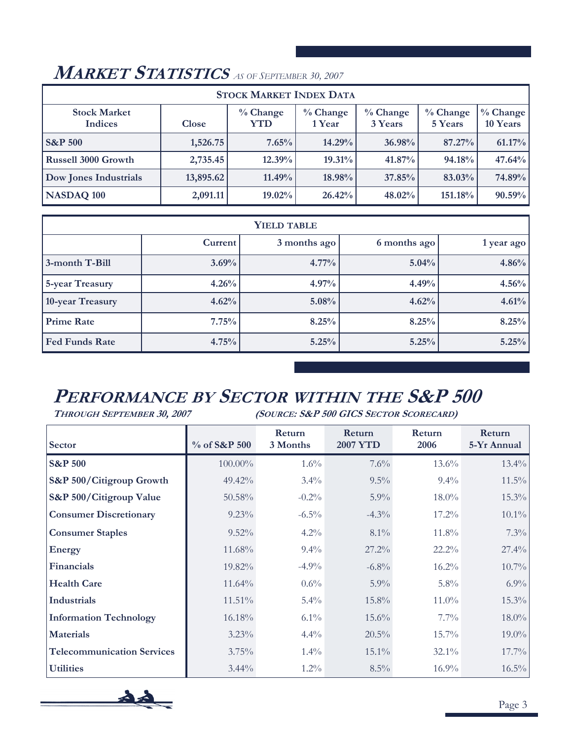| <b>STOCK MARKET INDEX DATA</b> |              |                    |                      |                     |                       |                        |  |  |  |
|--------------------------------|--------------|--------------------|----------------------|---------------------|-----------------------|------------------------|--|--|--|
| <b>Stock Market</b><br>Indices | <b>Close</b> | $\%$ Change<br>YTD | $%$ Change<br>1 Year | % Change<br>3 Years | $%$ Change<br>5 Years | $%$ Change<br>10 Years |  |  |  |
| <b>S&amp;P 500</b>             | 1,526.75     | 7.65%              | 14.29%               | 36.98%              | 87.27%                | 61.17%                 |  |  |  |
| <b>Russell 3000 Growth</b>     | 2,735.45     | 12.39%             | 19.31%               | $41.87\%$           | 94.18%                | 47.64%                 |  |  |  |
| <b>Dow Jones Industrials</b>   | 13,895.62    | 11.49%             | 18.98%               | 37.85%              | $83.03\%$             | 74.89%                 |  |  |  |
| NASDAQ 100                     | 2,091.11     | 19.02%             | 26.42%               | 48.02%              | 151.18%               | 90.59%                 |  |  |  |

## **MARKET STATISTICS** *AS OF SEPTEMBER 30, 2007*

| <b>YIELD TABLE</b>                                   |       |       |       |       |  |  |  |  |  |
|------------------------------------------------------|-------|-------|-------|-------|--|--|--|--|--|
| Current <sup>'</sup><br>3 months ago<br>6 months ago |       |       |       |       |  |  |  |  |  |
| 3-month T-Bill                                       | 3.69% | 4.77% | 5.04% | 4.86% |  |  |  |  |  |
| 5-year Treasury                                      | 4.26% | 4.97% | 4.49% | 4.56% |  |  |  |  |  |
| 10-year Treasury                                     | 4.62% | 5.08% | 4.62% | 4.61% |  |  |  |  |  |
| <b>Prime Rate</b>                                    | 7.75% | 8.25% | 8.25% | 8.25% |  |  |  |  |  |
| <b>Fed Funds Rate</b>                                | 4.75% | 5.25% | 5.25% | 5.25% |  |  |  |  |  |

# **PERFORMANCE BY SECTOR WITHIN THE S&P 500**

**THROUGH SEPTEMBER 30, 2007 (SOURCE: S&P 500 GICS SECTOR SCORECARD)** 

| <b>Sector</b>                     | $\%$ of S&P 500 | Return<br>3 Months | Return<br><b>2007 YTD</b> | Return<br>2006 | Return<br>5-Yr Annual |
|-----------------------------------|-----------------|--------------------|---------------------------|----------------|-----------------------|
| <b>S&amp;P 500</b>                | 100.00%         | $1.6\%$            | 7.6%                      | $13.6\%$       | $13.4\%$              |
| S&P 500/Citigroup Growth          | $49.42\%$       | $3.4\%$            | $9.5\%$                   | $9.4\%$        | $11.5\%$              |
| S&P 500/Citigroup Value           | 50.58%          | $-0.2\%$           | 5.9%                      | $18.0\%$       | $15.3\%$              |
| <b>Consumer Discretionary</b>     | 9.23%           | $-6.5\%$           | $-4.3\%$                  | 17.2%          | $10.1\%$              |
| <b>Consumer Staples</b>           | $9.52\%$        | $4.2\%$            | $8.1\%$                   | 11.8%          | 7.3%                  |
| <b>Energy</b>                     | 11.68%          | $9.4\%$            | $27.2\%$                  | 22.2%          | 27.4%                 |
| <b>Financials</b>                 | $19.82\%$       | $-4.9\%$           | $-6.8\%$                  | $16.2\%$       | $10.7\%$              |
| <b>Health Care</b>                | $11.64\%$       | $0.6\%$            | $5.9\%$                   | $5.8\%$        | $6.9\%$               |
| <b>Industrials</b>                | 11.51%          | $5.4\%$            | 15.8%                     | $11.0\%$       | $15.3\%$              |
| <b>Information Technology</b>     | 16.18%          | $6.1\%$            | $15.6\%$                  | $7.7\%$        | $18.0\%$              |
| <b>Materials</b>                  | 3.23%           | $4.4\%$            | 20.5%                     | 15.7%          | 19.0%                 |
| <b>Telecommunication Services</b> | 3.75%           | $1.4\%$            | $15.1\%$                  | 32.1%          | 17.7%                 |
| <b>Utilities</b>                  | $3.44\%$        | $1.2\%$            | $8.5\%$                   | $16.9\%$       | $16.5\%$              |

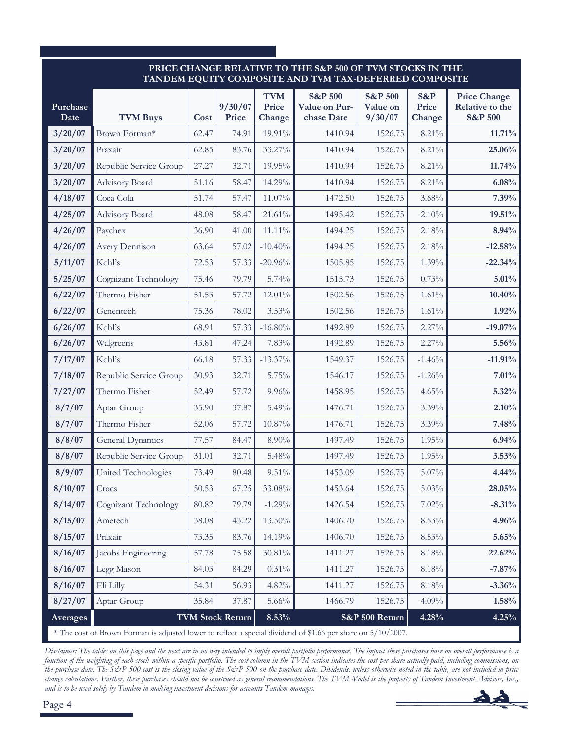#### **PRICE CHANGE RELATIVE TO THE S&P 500 OF TVM STOCKS IN THE TANDEM EQUITY COMPOSITE AND TVM TAX-DEFERRED COMPOSITE**

| Purchase<br>Date | <b>TVM Buys</b>                                                                                              | Cost  | 9/30/07<br>Price        | <b>TVM</b><br>Price<br>Change | <b>S&amp;P 500</b><br>Value on Pur-<br>chase Date | <b>S&amp;P 500</b><br>Value on<br>9/30/07 | S&P<br>Price<br>Change | <b>Price Change</b><br>Relative to the<br><b>S&amp;P 500</b> |  |  |
|------------------|--------------------------------------------------------------------------------------------------------------|-------|-------------------------|-------------------------------|---------------------------------------------------|-------------------------------------------|------------------------|--------------------------------------------------------------|--|--|
| 3/20/07          | Brown Forman*                                                                                                | 62.47 | 74.91                   | 19.91%                        | 1410.94                                           | 1526.75                                   | 8.21%                  | 11.71%                                                       |  |  |
| 3/20/07          | Praxair                                                                                                      | 62.85 | 83.76                   | 33.27%                        | 1410.94                                           | 1526.75                                   | 8.21%                  | 25.06%                                                       |  |  |
| 3/20/07          | Republic Service Group                                                                                       | 27.27 | 32.71                   | 19.95%                        | 1410.94                                           | 1526.75                                   | 8.21%                  | 11.74%                                                       |  |  |
| 3/20/07          | Advisory Board                                                                                               | 51.16 | 58.47                   | 14.29%                        | 1410.94                                           | 1526.75                                   | 8.21%                  | 6.08%                                                        |  |  |
| 4/18/07          | Coca Cola                                                                                                    | 51.74 | 57.47                   | 11.07%                        | 1472.50                                           | 1526.75                                   | 3.68%                  | 7.39%                                                        |  |  |
| 4/25/07          | Advisory Board                                                                                               | 48.08 | 58.47                   | 21.61%                        | 1495.42                                           | 1526.75                                   | 2.10%                  | 19.51%                                                       |  |  |
| 4/26/07          | Paychex                                                                                                      | 36.90 | 41.00                   | 11.11%                        | 1494.25                                           | 1526.75                                   | 2.18%                  | 8.94%                                                        |  |  |
| 4/26/07          | Avery Dennison                                                                                               | 63.64 | 57.02                   | $-10.40%$                     | 1494.25                                           | 1526.75                                   | 2.18%                  | $-12.58%$                                                    |  |  |
| 5/11/07          | Kohl's                                                                                                       | 72.53 | 57.33                   | $-20.96%$                     | 1505.85                                           | 1526.75                                   | 1.39%                  | $-22.34%$                                                    |  |  |
| 5/25/07          | Cognizant Technology                                                                                         | 75.46 | 79.79                   | 5.74%                         | 1515.73                                           | 1526.75                                   | 0.73%                  | 5.01%                                                        |  |  |
| 6/22/07          | Thermo Fisher                                                                                                | 51.53 | 57.72                   | 12.01%                        | 1502.56                                           | 1526.75                                   | 1.61%                  | $10.40\%$                                                    |  |  |
| 6/22/07          | Genentech                                                                                                    | 75.36 | 78.02                   | 3.53%                         | 1502.56                                           | 1526.75                                   | 1.61%                  | 1.92%                                                        |  |  |
| 6/26/07          | Kohl's                                                                                                       | 68.91 | 57.33                   | $-16.80%$                     | 1492.89                                           | 1526.75                                   | 2.27%                  | $-19.07%$                                                    |  |  |
| 6/26/07          | Walgreens                                                                                                    | 43.81 | 47.24                   | 7.83%                         | 1492.89                                           | 1526.75                                   | 2.27%                  | 5.56%                                                        |  |  |
| 7/17/07          | Kohl's                                                                                                       | 66.18 | 57.33                   | $-13.37\%$                    | 1549.37                                           | 1526.75                                   | $-1.46%$               | $-11.91%$                                                    |  |  |
| 7/18/07          | Republic Service Group                                                                                       | 30.93 | 32.71                   | 5.75%                         | 1546.17                                           | 1526.75                                   | $-1.26%$               | 7.01%                                                        |  |  |
| 7/27/07          | Thermo Fisher                                                                                                | 52.49 | 57.72                   | $9.96\%$                      | 1458.95                                           | 1526.75                                   | 4.65%                  | 5.32%                                                        |  |  |
| 8/7/07           | Aptar Group                                                                                                  | 35.90 | 37.87                   | 5.49%                         | 1476.71                                           | 1526.75                                   | 3.39%                  | 2.10%                                                        |  |  |
| 8/7/07           | Thermo Fisher                                                                                                | 52.06 | 57.72                   | 10.87%                        | 1476.71                                           | 1526.75                                   | 3.39%                  | 7.48%                                                        |  |  |
| 8/8/07           | <b>General Dynamics</b>                                                                                      | 77.57 | 84.47                   | 8.90%                         | 1497.49                                           | 1526.75                                   | 1.95%                  | 6.94%                                                        |  |  |
| 8/8/07           | Republic Service Group                                                                                       | 31.01 | 32.71                   | 5.48%                         | 1497.49                                           | 1526.75                                   | 1.95%                  | 3.53%                                                        |  |  |
| 8/9/07           | United Technologies                                                                                          | 73.49 | 80.48                   | 9.51%                         | 1453.09                                           | 1526.75                                   | $5.07\%$               | 4.44%                                                        |  |  |
| 8/10/07          | Crocs                                                                                                        | 50.53 | 67.25                   | 33.08%                        | 1453.64                                           | 1526.75                                   | 5.03%                  | 28.05%                                                       |  |  |
| 8/14/07          | Cognizant Technology                                                                                         | 80.82 | 79.79                   | $-1.29%$                      | 1426.54                                           | 1526.75                                   | 7.02%                  | $-8.31%$                                                     |  |  |
| 8/15/07          | Ametech                                                                                                      | 38.08 | 43.22                   | 13.50%                        | 1406.70                                           | 1526.75                                   | 8.53%                  | 4.96%                                                        |  |  |
| 8/15/07          | Praxair                                                                                                      | 73.35 | 83.76                   | 14.19%                        | 1406.70                                           | 1526.75                                   | 8.53%                  | 5.65%                                                        |  |  |
| 8/16/07          | Jacobs Engineering                                                                                           | 57.78 | 75.58                   | 30.81%                        | 1411.27                                           | 1526.75                                   | 8.18%                  | 22.62%                                                       |  |  |
| 8/16/07          | Legg Mason                                                                                                   | 84.03 | 84.29                   | $0.31\%$                      | 1411.27                                           | 1526.75                                   | 8.18%                  | $-7.87%$                                                     |  |  |
| 8/16/07          | Eli Lilly                                                                                                    | 54.31 | 56.93                   | 4.82%                         | 1411.27                                           | 1526.75                                   | 8.18%                  | $-3.36%$                                                     |  |  |
| 8/27/07          | Aptar Group                                                                                                  | 35.84 | 37.87                   | 5.66%                         | 1466.79                                           | 1526.75                                   | 4.09%                  | 1.58%                                                        |  |  |
| Averages         |                                                                                                              |       | <b>TVM Stock Return</b> | 8.53%                         |                                                   | S&P 500 Return                            | 4.28%                  | 4.25%                                                        |  |  |
|                  | * The cost of Brown Forman is adjusted lower to reflect a special dividend of \$1.66 per share on 5/10/2007. |       |                         |                               |                                                   |                                           |                        |                                                              |  |  |

*Disclaimer: The tables on this page and the next are in no way intended to imply overall portfolio performance. The impact these purchases have on overall performance is a function of the weighting of each stock within a specific portfolio. The cost column in the TVM section indicates the cost per share actually paid, including commissions, on the purchase date. The S&P 500 cost is the closing value of the S&P 500 on the purchase date. Dividends, unless otherwise noted in the table, are not included in price change calculations. Further, these purchases should not be construed as general recommendations. The TVM Model is the property of Tandem Investment Advisors, Inc., and is to be used solely by Tandem in making investment decisions for accounts Tandem manages.*

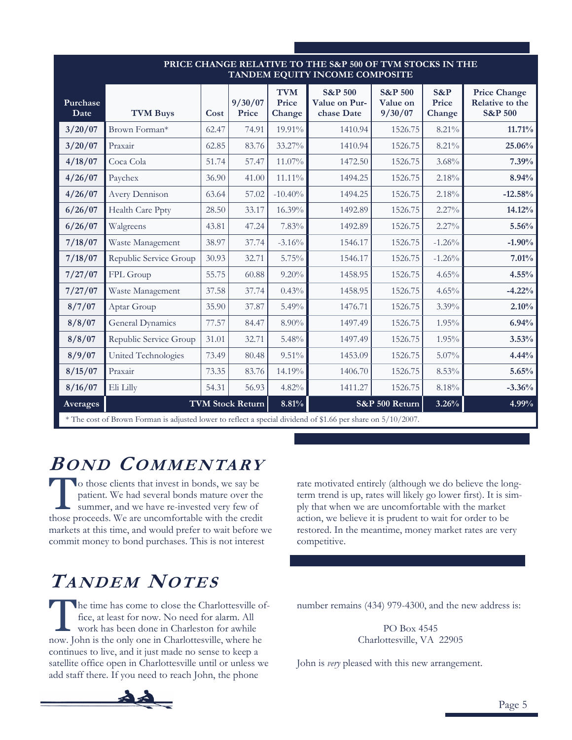| PRICE CHANGE RELATIVE TO THE S&P 500 OF TVM STOCKS IN THE<br>TANDEM EQUITY INCOME COMPOSITE |                                                                                                                                                                                                          |       |                         |           |         |                |          |                                                              |  |
|---------------------------------------------------------------------------------------------|----------------------------------------------------------------------------------------------------------------------------------------------------------------------------------------------------------|-------|-------------------------|-----------|---------|----------------|----------|--------------------------------------------------------------|--|
| Purchase<br>Date                                                                            | <b>TVM</b><br><b>S&amp;P 500</b><br><b>S&amp;P 500</b><br>S&P<br>9/30/07<br>Price<br>Value on Pur-<br>Value on<br>Price<br>Price<br>chase Date<br>9/30/07<br><b>TVM Buys</b><br>Change<br>Cost<br>Change |       |                         |           |         |                |          | <b>Price Change</b><br>Relative to the<br><b>S&amp;P 500</b> |  |
| 3/20/07                                                                                     | Brown Forman*                                                                                                                                                                                            | 62.47 | 74.91                   | 19.91%    | 1410.94 | 1526.75        | 8.21%    | 11.71%                                                       |  |
| 3/20/07                                                                                     | Praxair                                                                                                                                                                                                  | 62.85 | 83.76                   | 33.27%    | 1410.94 | 1526.75        | 8.21%    | 25.06%                                                       |  |
| 4/18/07                                                                                     | Coca Cola                                                                                                                                                                                                | 51.74 | 57.47                   | 11.07%    | 1472.50 | 1526.75        | 3.68%    | 7.39%                                                        |  |
| 4/26/07                                                                                     | Paychex                                                                                                                                                                                                  | 36.90 | 41.00                   | 11.11%    | 1494.25 | 1526.75        | 2.18%    | 8.94%                                                        |  |
| 4/26/07                                                                                     | Avery Dennison                                                                                                                                                                                           | 63.64 | 57.02                   | $-10.40%$ | 1494.25 | 1526.75        | 2.18%    | $-12.58%$                                                    |  |
| 6/26/07                                                                                     | Health Care Ppty                                                                                                                                                                                         | 28.50 | 33.17                   | 16.39%    | 1492.89 | 1526.75        | 2.27%    | 14.12%                                                       |  |
| 6/26/07                                                                                     | Walgreens                                                                                                                                                                                                | 43.81 | 47.24                   | 7.83%     | 1492.89 | 1526.75        | $2.27\%$ | 5.56%                                                        |  |
| 7/18/07                                                                                     | Waste Management                                                                                                                                                                                         | 38.97 | 37.74                   | $-3.16%$  | 1546.17 | 1526.75        | $-1.26%$ | $-1.90\%$                                                    |  |
| 7/18/07                                                                                     | Republic Service Group                                                                                                                                                                                   | 30.93 | 32.71                   | 5.75%     | 1546.17 | 1526.75        | $-1.26%$ | 7.01%                                                        |  |
| 7/27/07                                                                                     | FPL Group                                                                                                                                                                                                | 55.75 | 60.88                   | $9.20\%$  | 1458.95 | 1526.75        | 4.65%    | $4.55\%$                                                     |  |
| 7/27/07                                                                                     | Waste Management                                                                                                                                                                                         | 37.58 | 37.74                   | 0.43%     | 1458.95 | 1526.75        | 4.65%    | $-4.22%$                                                     |  |
| 8/7/07                                                                                      | Aptar Group                                                                                                                                                                                              | 35.90 | 37.87                   | 5.49%     | 1476.71 | 1526.75        | 3.39%    | 2.10%                                                        |  |
| 8/8/07                                                                                      | General Dynamics                                                                                                                                                                                         | 77.57 | 84.47                   | $8.90\%$  | 1497.49 | 1526.75        | 1.95%    | 6.94%                                                        |  |
| 8/8/07                                                                                      | Republic Service Group                                                                                                                                                                                   | 31.01 | 32.71                   | 5.48%     | 1497.49 | 1526.75        | 1.95%    | 3.53%                                                        |  |
| 8/9/07                                                                                      | United Technologies                                                                                                                                                                                      | 73.49 | 80.48                   | 9.51%     | 1453.09 | 1526.75        | 5.07%    | $4.44\%$                                                     |  |
| 8/15/07                                                                                     | Praxair                                                                                                                                                                                                  | 73.35 | 83.76                   | 14.19%    | 1406.70 | 1526.75        | 8.53%    | 5.65%                                                        |  |
| 8/16/07                                                                                     | Eli Lilly                                                                                                                                                                                                | 54.31 | 56.93                   | 4.82%     | 1411.27 | 1526.75        | 8.18%    | $-3.36%$                                                     |  |
| Averages                                                                                    |                                                                                                                                                                                                          |       | <b>TVM Stock Return</b> | 8.81%     |         | S&P 500 Return | 3.26%    | 4.99%                                                        |  |
|                                                                                             | * The cost of Brown Forman is adjusted lower to reflect a special dividend of \$1.66 per share on 5/10/2007.                                                                                             |       |                         |           |         |                |          |                                                              |  |

## **BOND COMMENTARY**

To those clients that invest in bonds, we say be patient. We had several bonds mature over the summer, and we have re-invested very few of those proceeds. We are uncomfortable with the credit markets at this time, and would prefer to wait before we commit money to bond purchases. This is not interest

# **TANDEM NOTES**

The time has come to close the Charlottesville of-<br>fice, at least for now. No need for alarm. All<br>work has been done in Charleston for awhile fice, at least for now. No need for alarm. All work has been done in Charleston for awhile now. John is the only one in Charlottesville, where he continues to live, and it just made no sense to keep a satellite office open in Charlottesville until or unless we add staff there. If you need to reach John, the phone

rate motivated entirely (although we do believe the longterm trend is up, rates will likely go lower first). It is simply that when we are uncomfortable with the market action, we believe it is prudent to wait for order to be restored. In the meantime, money market rates are very competitive.

number remains (434) 979-4300, and the new address is:

PO Box 4545 Charlottesville, VA 22905

John is *very* pleased with this new arrangement.

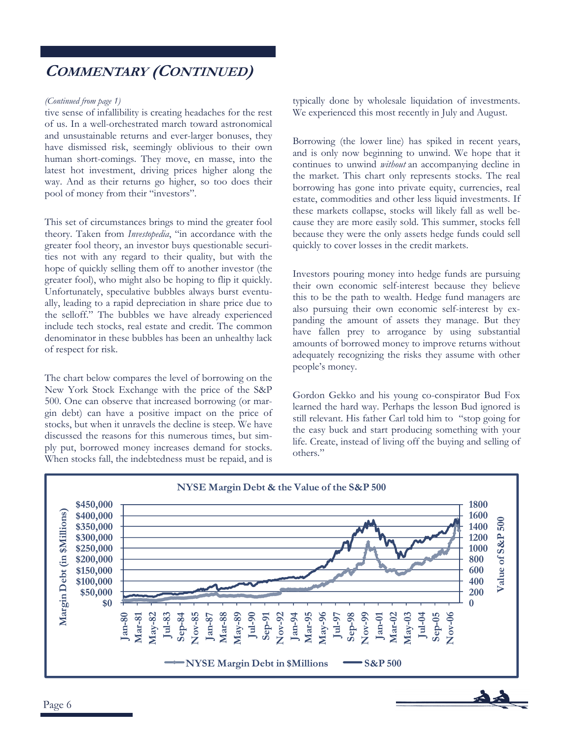## **COMMENTARY (CONTINUED)**

#### *(Continued from page 1)*

tive sense of infallibility is creating headaches for the rest of us. In a well-orchestrated march toward astronomical and unsustainable returns and ever-larger bonuses, they have dismissed risk, seemingly oblivious to their own human short-comings. They move, en masse, into the latest hot investment, driving prices higher along the way. And as their returns go higher, so too does their pool of money from their "investors".

This set of circumstances brings to mind the greater fool theory. Taken from *Investopedia*, "in accordance with the greater fool theory, an investor buys questionable securities not with any regard to their quality, but with the hope of quickly selling them off to another investor (the greater fool), who might also be hoping to flip it quickly. Unfortunately, speculative bubbles always burst eventually, leading to a rapid depreciation in share price due to the selloff." The bubbles we have already experienced include tech stocks, real estate and credit. The common denominator in these bubbles has been an unhealthy lack of respect for risk.

The chart below compares the level of borrowing on the New York Stock Exchange with the price of the S&P 500. One can observe that increased borrowing (or margin debt) can have a positive impact on the price of stocks, but when it unravels the decline is steep. We have discussed the reasons for this numerous times, but simply put, borrowed money increases demand for stocks. When stocks fall, the indebtedness must be repaid, and is

typically done by wholesale liquidation of investments. We experienced this most recently in July and August.

Borrowing (the lower line) has spiked in recent years, and is only now beginning to unwind. We hope that it continues to unwind *without* an accompanying decline in the market. This chart only represents stocks. The real borrowing has gone into private equity, currencies, real estate, commodities and other less liquid investments. If these markets collapse, stocks will likely fall as well because they are more easily sold. This summer, stocks fell because they were the only assets hedge funds could sell quickly to cover losses in the credit markets.

Investors pouring money into hedge funds are pursuing their own economic self-interest because they believe this to be the path to wealth. Hedge fund managers are also pursuing their own economic self-interest by expanding the amount of assets they manage. But they have fallen prey to arrogance by using substantial amounts of borrowed money to improve returns without adequately recognizing the risks they assume with other people's money.

Gordon Gekko and his young co-conspirator Bud Fox learned the hard way. Perhaps the lesson Bud ignored is still relevant. His father Carl told him to "stop going for the easy buck and start producing something with your life. Create, instead of living off the buying and selling of others."

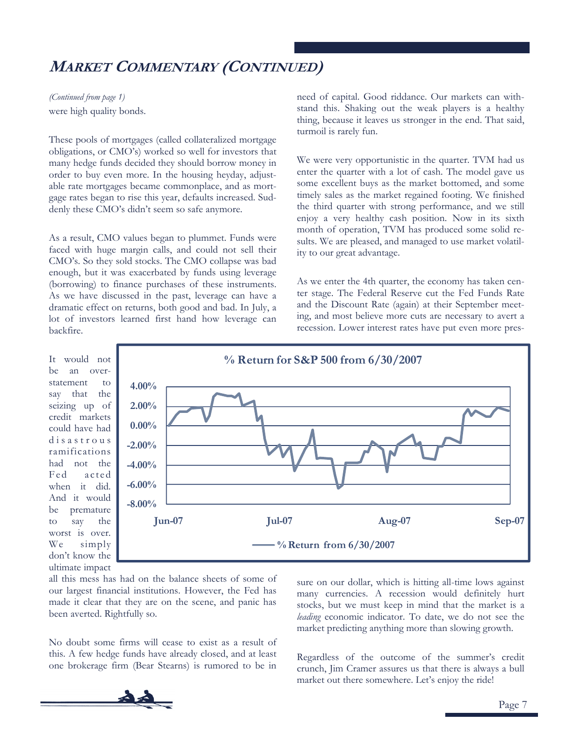## **MARKET COMMENTARY (CONTINUED)**

were high quality bonds. *(Continued from page 1)* 

These pools of mortgages (called collateralized mortgage obligations, or CMO's) worked so well for investors that many hedge funds decided they should borrow money in order to buy even more. In the housing heyday, adjustable rate mortgages became commonplace, and as mortgage rates began to rise this year, defaults increased. Suddenly these CMO's didn't seem so safe anymore.

As a result, CMO values began to plummet. Funds were faced with huge margin calls, and could not sell their CMO's. So they sold stocks. The CMO collapse was bad enough, but it was exacerbated by funds using leverage (borrowing) to finance purchases of these instruments. As we have discussed in the past, leverage can have a dramatic effect on returns, both good and bad. In July, a lot of investors learned first hand how leverage can backfire.

It would not be an overstatement to say that the seizing up of credit markets could have had d i s a s t r o u s ramifications had not the Fed acted when it did. And it would be premature to say the worst is over. We simply don't know the ultimate impact



all this mess has had on the balance sheets of some of our largest financial institutions. However, the Fed has made it clear that they are on the scene, and panic has been averted. Rightfully so.

No doubt some firms will cease to exist as a result of this. A few hedge funds have already closed, and at least one brokerage firm (Bear Stearns) is rumored to be in

sure on our dollar, which is hitting all-time lows against many currencies. A recession would definitely hurt stocks, but we must keep in mind that the market is a *leading* economic indicator. To date, we do not see the market predicting anything more than slowing growth.

Regardless of the outcome of the summer's credit crunch, Jim Cramer assures us that there is always a bull market out there somewhere. Let's enjoy the ride!



need of capital. Good riddance. Our markets can withstand this. Shaking out the weak players is a healthy thing, because it leaves us stronger in the end. That said, turmoil is rarely fun.

We were very opportunistic in the quarter. TVM had us enter the quarter with a lot of cash. The model gave us some excellent buys as the market bottomed, and some timely sales as the market regained footing. We finished the third quarter with strong performance, and we still enjoy a very healthy cash position. Now in its sixth month of operation, TVM has produced some solid results. We are pleased, and managed to use market volatility to our great advantage.

As we enter the 4th quarter, the economy has taken center stage. The Federal Reserve cut the Fed Funds Rate and the Discount Rate (again) at their September meeting, and most believe more cuts are necessary to avert a recession. Lower interest rates have put even more pres-